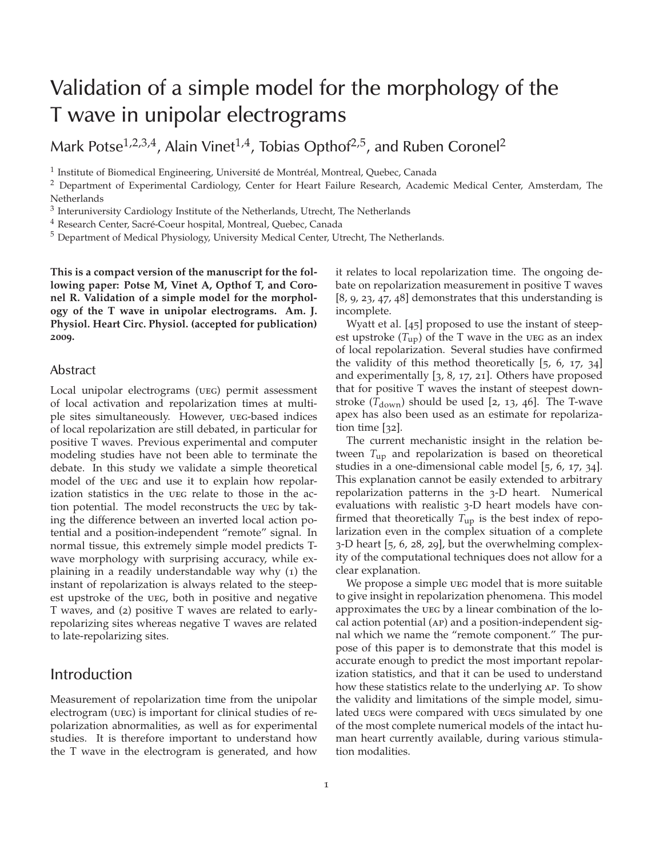# Validation of a simple model for the morphology of the T wave in unipolar electrograms

Mark Potse<sup>1,2,3,4</sup>, Alain Vinet<sup>1,4</sup>, Tobias Opthof<sup>2,5</sup>, and Ruben Coronel<sup>2</sup>

<sup>1</sup> Institute of Biomedical Engineering, Université de Montréal, Montreal, Quebec, Canada

<sup>2</sup> Department of Experimental Cardiology, Center for Heart Failure Research, Academic Medical Center, Amsterdam, The **Netherlands** 

 $3$  Interuniversity Cardiology Institute of the Netherlands, Utrecht, The Netherlands

<sup>4</sup> Research Center, Sacré-Coeur hospital, Montreal, Quebec, Canada

<sup>5</sup> Department of Medical Physiology, University Medical Center, Utrecht, The Netherlands.

**This is a compact version of the manuscript for the following paper: Potse M, Vinet A, Opthof T, and Coronel R. Validation of a simple model for the morphology of the T wave in unipolar electrograms. Am. J. Physiol. Heart Circ. Physiol. (accepted for publication) 2009.**

### Abstract

Local unipolar electrograms (ueg) permit assessment of local activation and repolarization times at multiple sites simultaneously. However, ueg-based indices of local repolarization are still debated, in particular for positive T waves. Previous experimental and computer modeling studies have not been able to terminate the debate. In this study we validate a simple theoretical model of the UEG and use it to explain how repolarization statistics in the ueg relate to those in the action potential. The model reconstructs the ueg by taking the difference between an inverted local action potential and a position-independent "remote" signal. In normal tissue, this extremely simple model predicts Twave morphology with surprising accuracy, while explaining in a readily understandable way why (1) the instant of repolarization is always related to the steepest upstroke of the ueg, both in positive and negative T waves, and (2) positive T waves are related to earlyrepolarizing sites whereas negative T waves are related to late-repolarizing sites.

### Introduction

Measurement of repolarization time from the unipolar electrogram (ueg) is important for clinical studies of repolarization abnormalities, as well as for experimental studies. It is therefore important to understand how the T wave in the electrogram is generated, and how it relates to local repolarization time. The ongoing debate on repolarization measurement in positive T waves [8, 9, 23, 47, 48] demonstrates that this understanding is incomplete.

Wyatt et al. [45] proposed to use the instant of steepest upstroke  $(T_{\rm up})$  of the T wave in the ueg as an index of local repolarization. Several studies have confirmed the validity of this method theoretically [5, 6, 17, 34] and experimentally [3, 8, 17, 21]. Others have proposed that for positive T waves the instant of steepest downstroke  $(T<sub>down</sub>)$  should be used [2, 13, 46]. The T-wave apex has also been used as an estimate for repolarization time [32].

The current mechanistic insight in the relation between *T*up and repolarization is based on theoretical studies in a one-dimensional cable model [5, 6, 17, 34]. This explanation cannot be easily extended to arbitrary repolarization patterns in the 3-D heart. Numerical evaluations with realistic 3-D heart models have confirmed that theoretically *T*up is the best index of repolarization even in the complex situation of a complete 3-D heart [5, 6, 28, 29], but the overwhelming complexity of the computational techniques does not allow for a clear explanation.

We propose a simple ueg model that is more suitable to give insight in repolarization phenomena. This model approximates the ueg by a linear combination of the local action potential (ap) and a position-independent signal which we name the "remote component." The purpose of this paper is to demonstrate that this model is accurate enough to predict the most important repolarization statistics, and that it can be used to understand how these statistics relate to the underlying ap. To show the validity and limitations of the simple model, simulated uegs were compared with uegs simulated by one of the most complete numerical models of the intact human heart currently available, during various stimulation modalities.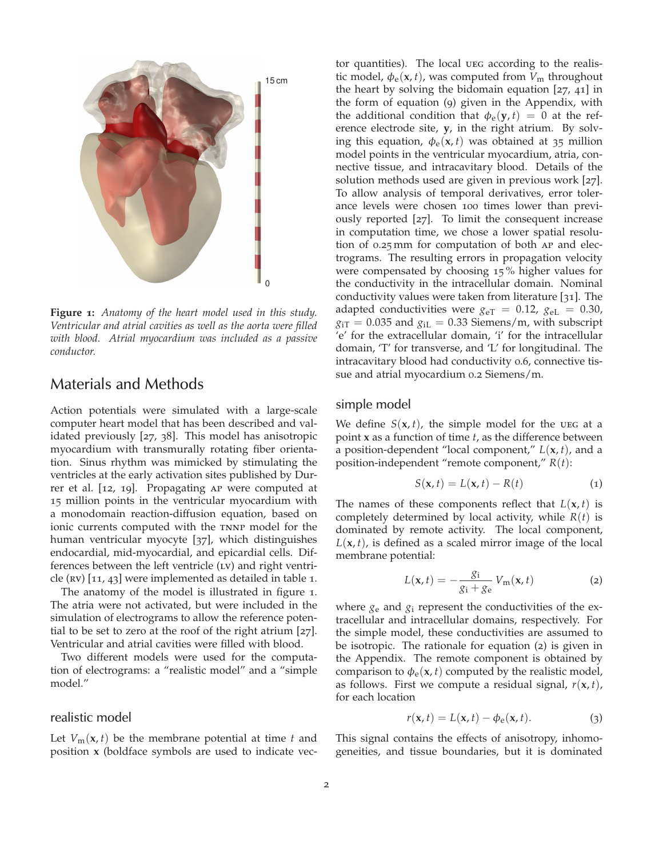

**Figure 1:** *Anatomy of the heart model used in this study. Ventricular and atrial cavities as well as the aorta were filled with blood. Atrial myocardium was included as a passive conductor.*

### Materials and Methods

Action potentials were simulated with a large-scale computer heart model that has been described and validated previously [27, 38]. This model has anisotropic myocardium with transmurally rotating fiber orientation. Sinus rhythm was mimicked by stimulating the ventricles at the early activation sites published by Durrer et al. [12, 19]. Propagating ap were computed at 15 million points in the ventricular myocardium with a monodomain reaction-diffusion equation, based on ionic currents computed with the TNNP model for the human ventricular myocyte [37], which distinguishes endocardial, mid-myocardial, and epicardial cells. Differences between the left ventricle (LV) and right ventricle (RV)  $[11, 43]$  were implemented as detailed in table 1.

The anatomy of the model is illustrated in figure 1. The atria were not activated, but were included in the simulation of electrograms to allow the reference potential to be set to zero at the roof of the right atrium [27]. Ventricular and atrial cavities were filled with blood.

Two different models were used for the computation of electrograms: a "realistic model" and a "simple model."

### realistic model

Let  $V_m(\mathbf{x}, t)$  be the membrane potential at time *t* and position **x** (boldface symbols are used to indicate vector quantities). The local ueg according to the realistic model,  $\phi_e$ (**x**, *t*), was computed from  $V_m$  throughout the heart by solving the bidomain equation [27, 41] in the form of equation (9) given in the Appendix, with the additional condition that  $\phi_e(y, t) = 0$  at the reference electrode site, **y**, in the right atrium. By solving this equation,  $\phi_e(x, t)$  was obtained at 35 million model points in the ventricular myocardium, atria, connective tissue, and intracavitary blood. Details of the solution methods used are given in previous work [27]. To allow analysis of temporal derivatives, error tolerance levels were chosen 100 times lower than previously reported [27]. To limit the consequent increase in computation time, we chose a lower spatial resolution of 0.25 mm for computation of both ap and electrograms. The resulting errors in propagation velocity were compensated by choosing 15 % higher values for the conductivity in the intracellular domain. Nominal conductivity values were taken from literature [31]. The adapted conductivities were  $g_{\text{eT}} = 0.12$ ,  $g_{\text{eL}} = 0.30$ ,  $g_{\text{iT}} = 0.035$  and  $g_{\text{iL}} = 0.33$  Siemens/m, with subscript 'e' for the extracellular domain, 'i' for the intracellular domain, 'T' for transverse, and 'L' for longitudinal. The intracavitary blood had conductivity 0.6, connective tissue and atrial myocardium 0.2 Siemens/m.

#### simple model

We define  $S(x, t)$ , the simple model for the ueg at a point **x** as a function of time *t*, as the difference between a position-dependent "local component,"  $L(\mathbf{x}, t)$ , and a position-independent "remote component," *R*(*t*):

$$
S(\mathbf{x}, t) = L(\mathbf{x}, t) - R(t) \tag{1}
$$

The names of these components reflect that  $L(\mathbf{x}, t)$  is completely determined by local activity, while *R*(*t*) is dominated by remote activity. The local component,  $L(\mathbf{x}, t)$ , is defined as a scaled mirror image of the local membrane potential:

$$
L(\mathbf{x},t) = -\frac{g_i}{g_i + g_e} V_m(\mathbf{x},t)
$$
 (2)

where  $g_e$  and  $g_i$  represent the conductivities of the extracellular and intracellular domains, respectively. For the simple model, these conductivities are assumed to be isotropic. The rationale for equation (2) is given in the Appendix. The remote component is obtained by comparison to  $\phi_e$ (**x**, *t*) computed by the realistic model, as follows. First we compute a residual signal,  $r(\mathbf{x}, t)$ , for each location

$$
r(\mathbf{x},t) = L(\mathbf{x},t) - \phi_{\mathbf{e}}(\mathbf{x},t). \tag{3}
$$

This signal contains the effects of anisotropy, inhomogeneities, and tissue boundaries, but it is dominated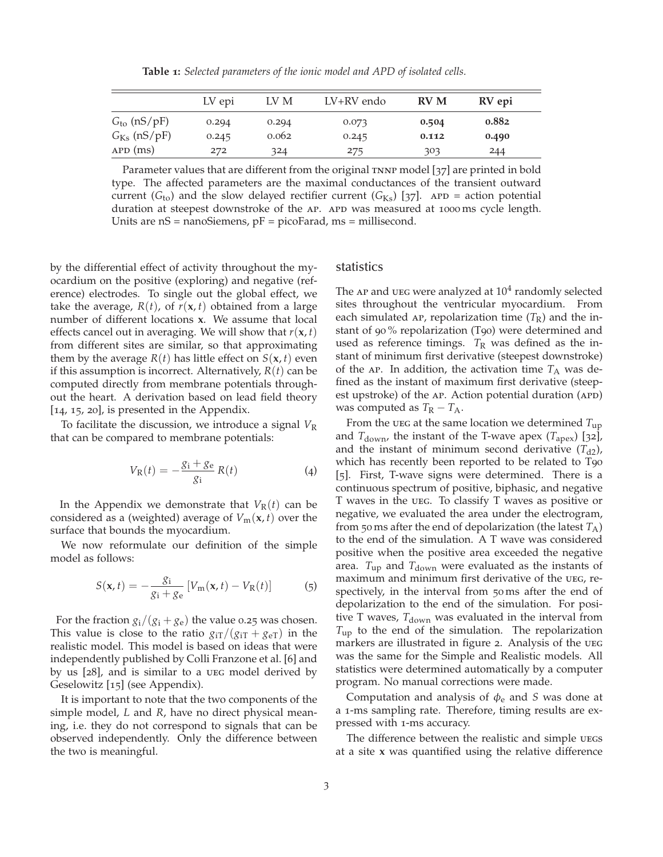**Table 1:** *Selected parameters of the ionic model and APD of isolated cells.*

|                         | LV epi | LV M  | LV+RV endo | <b>RV M</b> | RV epi |  |
|-------------------------|--------|-------|------------|-------------|--------|--|
| $Gto$ (nS/pF)           | 0.294  | 0.294 | 0.073      | 0.504       | 0.882  |  |
| $G_{\text{Ks}}$ (nS/pF) | 0.245  | 0.062 | 0.245      | 0.112       | 0.490  |  |
| $APD$ (ms)              | 272    | 324   | 275        | 303         | 244    |  |

Parameter values that are different from the original TNNP model [37] are printed in bold type. The affected parameters are the maximal conductances of the transient outward current ( $G_{to}$ ) and the slow delayed rectifier current ( $G_{Ks}$ ) [37]. APD = action potential duration at steepest downstroke of the AP. APD was measured at 1000 ms cycle length. Units are nS = nanoSiemens, pF = picoFarad, ms = millisecond.

by the differential effect of activity throughout the myocardium on the positive (exploring) and negative (reference) electrodes. To single out the global effect, we take the average,  $R(t)$ , of  $r(x, t)$  obtained from a large number of different locations **x**. We assume that local effects cancel out in averaging. We will show that  $r(\mathbf{x}, t)$ from different sites are similar, so that approximating them by the average  $R(t)$  has little effect on  $S(\mathbf{x}, t)$  even if this assumption is incorrect. Alternatively, *R*(*t*) can be computed directly from membrane potentials throughout the heart. A derivation based on lead field theory [14, 15, 20], is presented in the Appendix.

To facilitate the discussion, we introduce a signal *V*<sup>R</sup> that can be compared to membrane potentials:

$$
V_{R}(t) = -\frac{g_{i} + g_{e}}{g_{i}} R(t)
$$
 (4)

In the Appendix we demonstrate that  $V_R(t)$  can be considered as a (weighted) average of  $V_m(\mathbf{x}, t)$  over the surface that bounds the myocardium.

We now reformulate our definition of the simple model as follows:

$$
S(\mathbf{x},t) = -\frac{g_i}{g_i + g_e} \left[ V_m(\mathbf{x},t) - V_R(t) \right] \tag{5}
$$

For the fraction  $g_i/(g_i+g_e)$  the value 0.25 was chosen. This value is close to the ratio  $g_{iT}/(g_{iT} + g_{eT})$  in the realistic model. This model is based on ideas that were independently published by Colli Franzone et al. [6] and by us [28], and is similar to a ueg model derived by Geselowitz [15] (see Appendix).

It is important to note that the two components of the simple model, *L* and *R*, have no direct physical meaning, i.e. they do not correspond to signals that can be observed independently. Only the difference between the two is meaningful.

### statistics

The  $AP$  and  $UEG$  were analyzed at  $10^4$  randomly selected sites throughout the ventricular myocardium. From each simulated AP, repolarization time  $(T_R)$  and the instant of 90 % repolarization (T90) were determined and used as reference timings.  $T_R$  was defined as the instant of minimum first derivative (steepest downstroke) of the AP. In addition, the activation time  $T_A$  was defined as the instant of maximum first derivative (steepest upstroke) of the AP. Action potential duration (APD) was computed as  $T_R - T_A$ .

From the ueg at the same location we determined  $T_{\text{up}}$ and  $T_{\text{down}}$ , the instant of the T-wave apex ( $T_{\text{apex}}$ ) [32], and the instant of minimum second derivative  $(T_{d2})$ , which has recently been reported to be related to T90 [5]. First, T-wave signs were determined. There is a continuous spectrum of positive, biphasic, and negative T waves in the ueg. To classify T waves as positive or negative, we evaluated the area under the electrogram, from 50 ms after the end of depolarization (the latest  $T_A$ ) to the end of the simulation. A T wave was considered positive when the positive area exceeded the negative area.  $T_{\text{up}}$  and  $T_{\text{down}}$  were evaluated as the instants of maximum and minimum first derivative of the ueg, respectively, in the interval from 50 ms after the end of depolarization to the end of the simulation. For positive T waves,  $T_{down}$  was evaluated in the interval from *T*up to the end of the simulation. The repolarization markers are illustrated in figure 2. Analysis of the ueg was the same for the Simple and Realistic models. All statistics were determined automatically by a computer program. No manual corrections were made.

Computation and analysis of φ<sup>e</sup> and *S* was done at a 1-ms sampling rate. Therefore, timing results are expressed with 1-ms accuracy.

The difference between the realistic and simple UEGS at a site **x** was quantified using the relative difference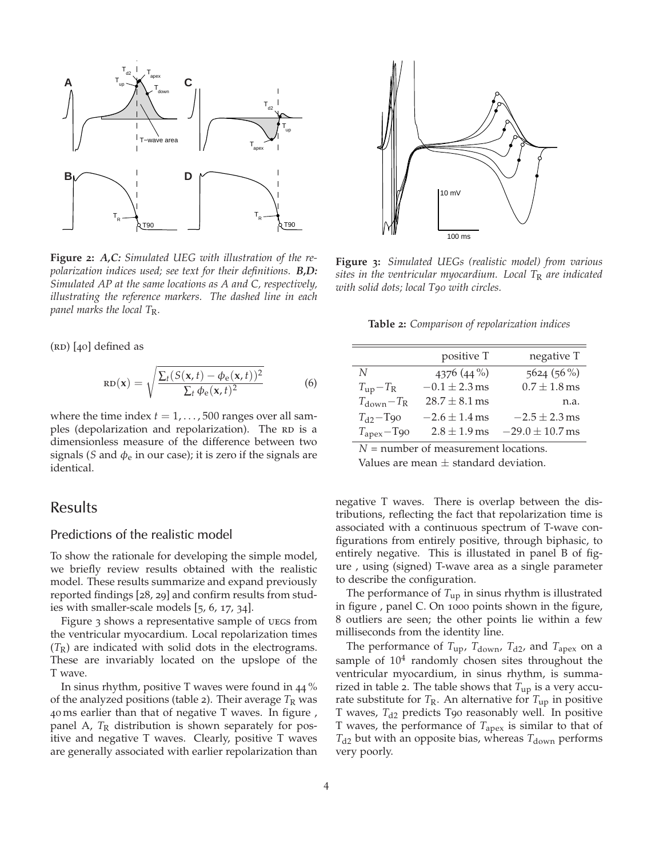

**Figure 2:** *A,C: Simulated UEG with illustration of the repolarization indices used; see text for their definitions. B,D: Simulated AP at the same locations as A and C, respectively, illustrating the reference markers. The dashed line in each panel marks the local T*R*.*

 $(RD)$  [40] defined as

$$
RD(\mathbf{x}) = \sqrt{\frac{\sum_{t} (S(\mathbf{x}, t) - \phi_{e}(\mathbf{x}, t))^{2}}{\sum_{t} \phi_{e}(\mathbf{x}, t)^{2}}}
$$
(6)

where the time index  $t = 1, \ldots, 500$  ranges over all samples (depolarization and repolarization). The RD is a dimensionless measure of the difference between two signals (*S* and  $\phi_e$  in our case); it is zero if the signals are identical.

### Results

### Predictions of the realistic model

To show the rationale for developing the simple model, we briefly review results obtained with the realistic model. These results summarize and expand previously reported findings [28, 29] and confirm results from studies with smaller-scale models [5, 6, 17, 34].

Figure 3 shows a representative sample of uegs from the ventricular myocardium. Local repolarization times  $(T_R)$  are indicated with solid dots in the electrograms. These are invariably located on the upslope of the T wave.

In sinus rhythm, positive T waves were found in 44 % of the analyzed positions (table 2). Their average  $T_R$  was 40 ms earlier than that of negative T waves. In figure , panel A, T<sub>R</sub> distribution is shown separately for positive and negative T waves. Clearly, positive T waves are generally associated with earlier repolarization than



**Figure 3:** *Simulated UEGs (realistic model) from various sites in the ventricular myocardium. Local T*<sup>R</sup> *are indicated with solid dots; local T90 with circles.*

**Table 2:** *Comparison of repolarization indices*

|                                  | positive T        | negative T                |
|----------------------------------|-------------------|---------------------------|
| N                                | 4376 (44 %)       | $5624(56\%)$              |
| $T_{\rm up}-T_{\rm R}$           | $-0.1 \pm 2.3$ ms | $0.7 \pm 1.8 \,\text{ms}$ |
| $T_{\text{down}} - T_{\text{R}}$ | $28.7 \pm 8.1$ ms | n.a.                      |
| $T_{d2}$ -T <sub>90</sub>        | $-2.6 \pm 1.4$ ms | $-2.5 \pm 2.3$ ms         |
| $T_{apex}$ -T90                  | $2.8 \pm 1.9$ ms  | $-29.0 \pm 10.7$ ms       |

*N* = number of measurement locations.

Values are mean  $\pm$  standard deviation.

negative T waves. There is overlap between the distributions, reflecting the fact that repolarization time is associated with a continuous spectrum of T-wave configurations from entirely positive, through biphasic, to entirely negative. This is illustated in panel B of figure , using (signed) T-wave area as a single parameter to describe the configuration.

The performance of  $T_{\text{up}}$  in sinus rhythm is illustrated in figure , panel C. On 1000 points shown in the figure, 8 outliers are seen; the other points lie within a few milliseconds from the identity line.

The performance of  $T_{\text{up}}$ ,  $T_{\text{down}}$ ,  $T_{\text{d2}}$ , and  $T_{\text{apex}}$  on a sample of  $10^4$  randomly chosen sites throughout the ventricular myocardium, in sinus rhythm, is summarized in table 2. The table shows that  $T_{up}$  is a very accurate substitute for  $T_R$ . An alternative for  $T_{up}$  in positive T waves, T<sub>d2</sub> predicts T90 reasonably well. In positive T waves, the performance of *T*apex is similar to that of  $T_{d2}$  but with an opposite bias, whereas  $T_{down}$  performs very poorly.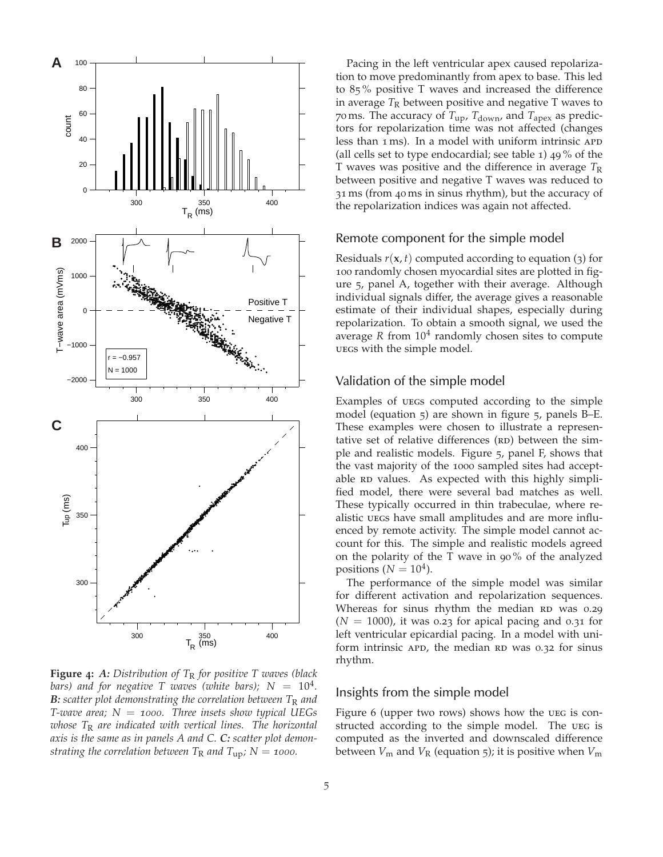

**Figure 4:** *A: Distribution of T*<sup>R</sup> *for positive T waves (black* bars) and for negative T waves (white bars);  $N~=~10^4$ . *B***:** *scatter plot demonstrating the correlation between*  $T_R$  *and T-wave area; N* = *1000. Three insets show typical UEGs whose T*<sup>R</sup> *are indicated with vertical lines. The horizontal axis is the same as in panels A and C. C: scatter plot demonstrating the correlation between*  $T_R$  *and*  $T_{up}$ *;*  $N = 1000$ *.* 

Pacing in the left ventricular apex caused repolarization to move predominantly from apex to base. This led to 85 % positive T waves and increased the difference in average  $T_R$  between positive and negative  $T$  waves to 70 ms. The accuracy of  $T_{\rm up}$ ,  $T_{\rm down}$ , and  $T_{\rm apex}$  as predictors for repolarization time was not affected (changes less than 1 ms). In a model with uniform intrinsic APD (all cells set to type endocardial; see table 1) 49 % of the T waves was positive and the difference in average  $T_R$ between positive and negative T waves was reduced to 31 ms (from 40 ms in sinus rhythm), but the accuracy of the repolarization indices was again not affected.

#### Remote component for the simple model

Residuals *r*(**x**, *t*) computed according to equation (3) for 100 randomly chosen myocardial sites are plotted in figure 5, panel A, together with their average. Although individual signals differ, the average gives a reasonable estimate of their individual shapes, especially during repolarization. To obtain a smooth signal, we used the average *R* from 10<sup>4</sup> randomly chosen sites to compute uegs with the simple model.

#### Validation of the simple model

Examples of uegs computed according to the simple model (equation 5) are shown in figure 5, panels B–E. These examples were chosen to illustrate a representative set of relative differences  $(RD)$  between the simple and realistic models. Figure 5, panel F, shows that the vast majority of the 1000 sampled sites had acceptable RD values. As expected with this highly simplified model, there were several bad matches as well. These typically occurred in thin trabeculae, where realistic uegs have small amplitudes and are more influenced by remote activity. The simple model cannot account for this. The simple and realistic models agreed on the polarity of the T wave in 90 % of the analyzed positions ( $N = 10<sup>4</sup>$ ).

The performance of the simple model was similar for different activation and repolarization sequences. Whereas for sinus rhythm the median RD was 0.29  $(N = 1000)$ , it was 0.23 for apical pacing and 0.31 for left ventricular epicardial pacing. In a model with uniform intrinsic  $APD$ , the median RD was 0.32 for sinus rhythm.

### Insights from the simple model

Figure 6 (upper two rows) shows how the UEG is constructed according to the simple model. The UEG is computed as the inverted and downscaled difference between  $V_m$  and  $V_R$  (equation 5); it is positive when  $V_m$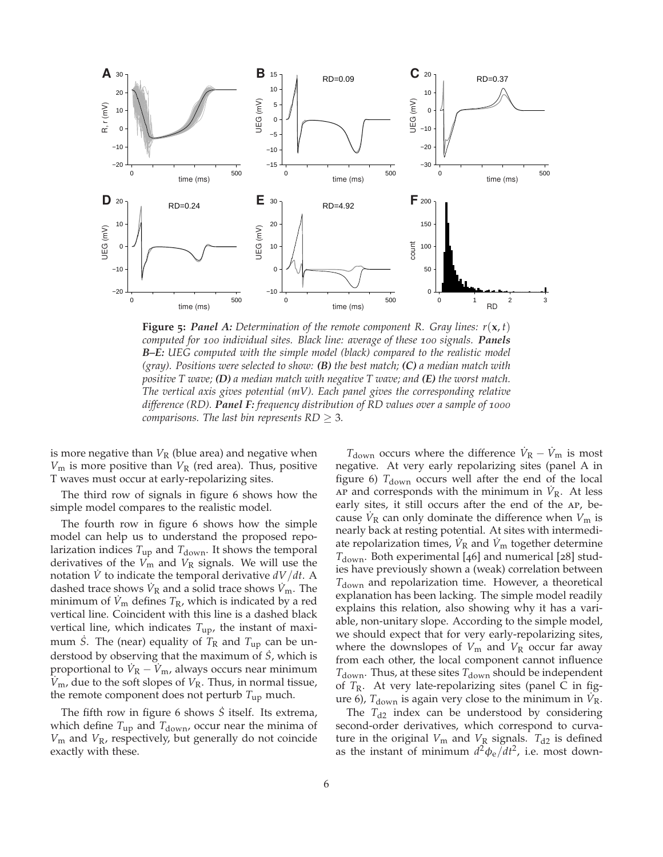

**Figure** 5: Panel A: Determination of the remote component R. Gray lines:  $r(x, t)$ *computed for 100 individual sites. Black line: average of these 100 signals. Panels B–E: UEG computed with the simple model (black) compared to the realistic model (gray). Positions were selected to show: (B) the best match; (C) a median match with positive T wave; (D) a median match with negative T wave; and (E) the worst match. The vertical axis gives potential (mV). Each panel gives the corresponding relative difference (RD). Panel F: frequency distribution of RD values over a sample of 1000 comparisons. The last bin represents RD* ≥ 3*.*

is more negative than  $V_R$  (blue area) and negative when  $V_m$  is more positive than  $V_R$  (red area). Thus, positive T waves must occur at early-repolarizing sites.

The third row of signals in figure 6 shows how the simple model compares to the realistic model.

The fourth row in figure 6 shows how the simple model can help us to understand the proposed repolarization indices  $T_{\text{up}}$  and  $T_{\text{down}}$ . It shows the temporal derivatives of the  $V_m$  and  $V_R$  signals. We will use the notation *V*˙ to indicate the temporal derivative *dV*/*dt*. A dashed trace shows  $\dot{V}_R$  and a solid trace shows  $\dot{V}_m$ . The minimum of  $V_{\rm m}$  defines  $T_{\rm R}$ , which is indicated by a red vertical line. Coincident with this line is a dashed black vertical line, which indicates  $T_{\text{up}}$ , the instant of maximum *S*. The (near) equality of  $T<sub>R</sub>$  and  $T<sub>up</sub>$  can be understood by observing that the maximum of  $\dot{S}$ , which is proportional to  $\dot{V}_{\rm R} - \dot{V}_{\rm m}$ , always occurs near minimum  $V_{\rm m}$ , due to the soft slopes of  $V_{\rm R}$ . Thus, in normal tissue, the remote component does not perturb *T*up much.

The fifth row in figure 6 shows  $\dot{S}$  itself. Its extrema, which define  $T_{\text{up}}$  and  $T_{\text{down}}$ , occur near the minima of *V*<sup>m</sup> and *V*R, respectively, but generally do not coincide exactly with these.

 $T_{\text{down}}$  occurs where the difference  $\dot{V}_{\text{R}} - \dot{V}_{\text{m}}$  is most negative. At very early repolarizing sites (panel A in figure 6)  $T_{down}$  occurs well after the end of the local  $AP$  and corresponds with the minimum in  $\dot{V}_R$ . At less early sites, it still occurs after the end of the ap, because  $\dot{V}_{\rm R}$  can only dominate the difference when  $V_{\rm m}$  is nearly back at resting potential. At sites with intermediate repolarization times,  $\dot{V}_{\rm R}$  and  $\dot{V}_{\rm m}$  together determine  $T_{\text{down}}$ . Both experimental [46] and numerical [28] studies have previously shown a (weak) correlation between  $T_{\text{down}}$  and repolarization time. However, a theoretical explanation has been lacking. The simple model readily explains this relation, also showing why it has a variable, non-unitary slope. According to the simple model, we should expect that for very early-repolarizing sites, where the downslopes of  $V_m$  and  $V_R$  occur far away from each other, the local component cannot influence  $T_{down}$ . Thus, at these sites  $T_{down}$  should be independent of *T*R. At very late-repolarizing sites (panel C in figure 6),  $T_{\text{down}}$  is again very close to the minimum in  $\dot{V}_{\text{R}}$ .

The  $T_{d2}$  index can be understood by considering second-order derivatives, which correspond to curvature in the original  $V_m$  and  $V_R$  signals.  $T_{d2}$  is defined as the instant of minimum  $d^2\phi_e/dt^2$ , i.e. most down-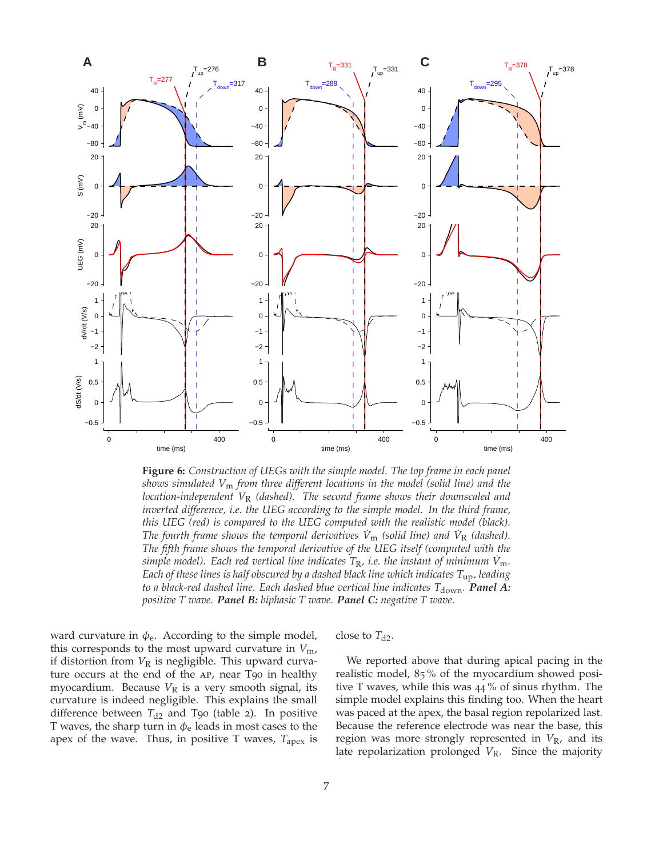

**Figure 6:** *Construction of UEGs with the simple model. The top frame in each panel shows simulated V*<sup>m</sup> *from three different locations in the model (solid line) and the location-independent V*<sup>R</sup> *(dashed). The second frame shows their downscaled and inverted difference, i.e. the UEG according to the simple model. In the third frame, this UEG (red) is compared to the UEG computed with the realistic model (black). The fourth frame shows the temporal derivatives*  $\dot{V}_{\rm m}$  *(solid line) and*  $\dot{V}_{\rm R}$  *(dashed). The fifth frame shows the temporal derivative of the UEG itself (computed with the simple model). Each red vertical line indicates*  $T_R$ *, i.e. the instant of minimum*  $\dot{V}_{\rm m}$ *. Each of these lines is half obscured by a dashed black line which indicates T*up*, leading to a black-red dashed line. Each dashed blue vertical line indicates* T<sub>down</sub>. **Panel A:** *positive T wave. Panel B: biphasic T wave. Panel C: negative T wave.*

ward curvature in  $\phi_e$ . According to the simple model, this corresponds to the most upward curvature in  $V_{\text{m}}$ , if distortion from  $V_R$  is negligible. This upward curvature occurs at the end of the AP, near T90 in healthy myocardium. Because  $V_R$  is a very smooth signal, its curvature is indeed negligible. This explains the small difference between  $T_{d2}$  and T90 (table 2). In positive T waves, the sharp turn in  $\phi_e$  leads in most cases to the apex of the wave. Thus, in positive T waves, *T*apex is close to  $T_{d2}$ .

We reported above that during apical pacing in the realistic model, 85 % of the myocardium showed positive T waves, while this was 44 % of sinus rhythm. The simple model explains this finding too. When the heart was paced at the apex, the basal region repolarized last. Because the reference electrode was near the base, this region was more strongly represented in  $V<sub>R</sub>$ , and its late repolarization prolonged V<sub>R</sub>. Since the majority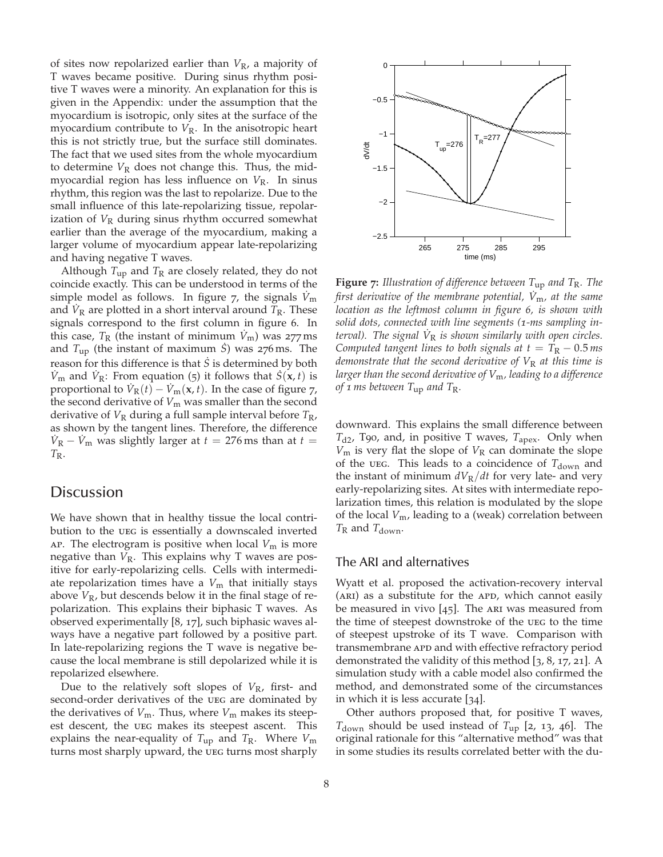of sites now repolarized earlier than *V*R, a majority of T waves became positive. During sinus rhythm positive T waves were a minority. An explanation for this is given in the Appendix: under the assumption that the myocardium is isotropic, only sites at the surface of the myocardium contribute to  $V_R$ . In the anisotropic heart this is not strictly true, but the surface still dominates. The fact that we used sites from the whole myocardium to determine  $V_R$  does not change this. Thus, the midmyocardial region has less influence on *V*R. In sinus rhythm, this region was the last to repolarize. Due to the small influence of this late-repolarizing tissue, repolarization of  $V_R$  during sinus rhythm occurred somewhat earlier than the average of the myocardium, making a larger volume of myocardium appear late-repolarizing and having negative T waves.

Although  $T_{\rm up}$  and  $T_{\rm R}$  are closely related, they do not coincide exactly. This can be understood in terms of the simple model as follows. In figure 7, the signals  $\dot{V}_{\text{m}}$ and  $\dot{V}_R$  are plotted in a short interval around  $\bar{T}_R$ . These signals correspond to the first column in figure 6. In this case,  $T_R$  (the instant of minimum  $V_m$ ) was 277 ms and  $T_{\text{up}}$  (the instant of maximum *S*) was 276 ms. The reason for this difference is that *S*˙ is determined by both  $\dot{V}_{\text{m}}$  and  $\dot{V}_{\text{R}}$ : From equation (5) it follows that  $\dot{S}(\mathbf{x}, t)$  is proportional to  $\dot{V}_R(t) - \dot{V}_m(x, t)$ . In the case of figure 7, the second derivative of  $V_m$  was smaller than the second derivative of  $V_R$  during a full sample interval before  $T_R$ , as shown by the tangent lines. Therefore, the difference  $\dot{V}_R - \dot{V}_m$  was slightly larger at  $t = 276$  ms than at  $t =$  $T_{\rm R}$ .

### **Discussion**

We have shown that in healthy tissue the local contribution to the ueg is essentially a downscaled inverted  $AP.$  The electrogram is positive when local  $V_m$  is more negative than  $V_R$ . This explains why T waves are positive for early-repolarizing cells. Cells with intermediate repolarization times have a  $V_m$  that initially stays above  $V_R$ , but descends below it in the final stage of repolarization. This explains their biphasic T waves. As observed experimentally [8, 17], such biphasic waves always have a negative part followed by a positive part. In late-repolarizing regions the T wave is negative because the local membrane is still depolarized while it is repolarized elsewhere.

Due to the relatively soft slopes of  $V_R$ , first- and second-order derivatives of the UEG are dominated by the derivatives of  $V_m$ . Thus, where  $V_m$  makes its steepest descent, the ueg makes its steepest ascent. This explains the near-equality of  $T_{\text{up}}$  and  $T_{\text{R}}$ . Where  $V_{\text{m}}$ turns most sharply upward, the UEG turns most sharply



**Figure 7:** *Illustration of difference between T*up *and T*R*. The first derivative of the membrane potential,*  $\dot{V}_{m}$ *, at the same location as the leftmost column in figure 6, is shown with solid dots, connected with line segments (1-ms sampling interval). The signal V*˙ <sup>R</sup> *is shown similarly with open circles. Computed tangent lines to both signals at*  $t = T_R - 0.5$  *ms demonstrate that the second derivative of*  $V_R$  *at this time is larger than the second derivative of V*m*, leading to a difference of 1 ms between T*up *and T*R*.*

downward. This explains the small difference between *T*d2, T90, and, in positive T waves, *T*apex. Only when  $V_m$  is very flat the slope of  $V_R$  can dominate the slope of the ueg. This leads to a coincidence of T<sub>down</sub> and the instant of minimum  $dV_R/dt$  for very late- and very early-repolarizing sites. At sites with intermediate repolarization times, this relation is modulated by the slope of the local *V*m, leading to a (weak) correlation between  $T_R$  and  $T_{down}$ .

### The ARI and alternatives

Wyatt et al. proposed the activation-recovery interval (ARI) as a substitute for the APD, which cannot easily be measured in vivo  $[45]$ . The ARI was measured from the time of steepest downstroke of the ueg to the time of steepest upstroke of its T wave. Comparison with transmembrane apd and with effective refractory period demonstrated the validity of this method [3, 8, 17, 21]. A simulation study with a cable model also confirmed the method, and demonstrated some of the circumstances in which it is less accurate [34].

Other authors proposed that, for positive T waves,  $T_{\text{down}}$  should be used instead of  $T_{\text{up}}$  [2, 13, 46]. The original rationale for this "alternative method" was that in some studies its results correlated better with the du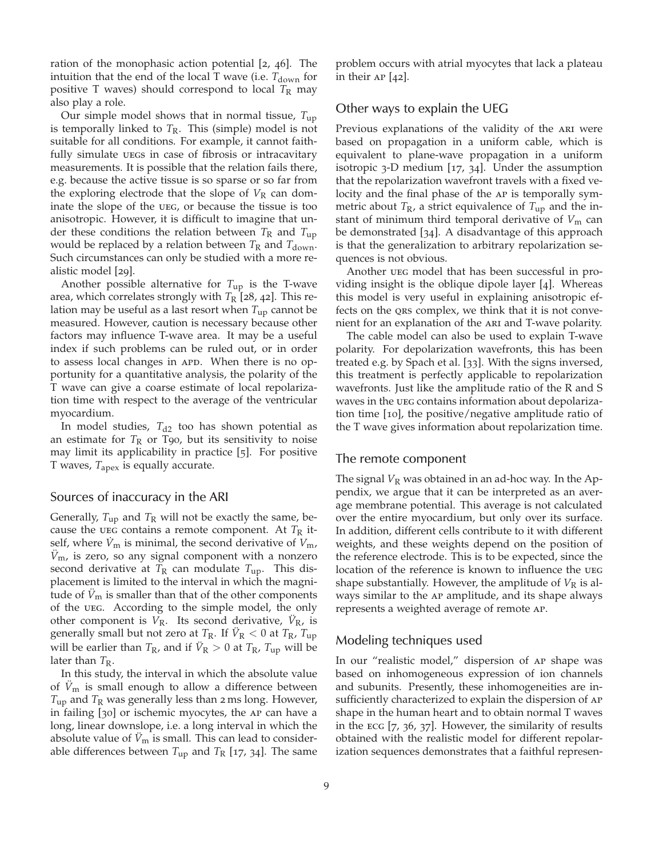ration of the monophasic action potential [2, 46]. The intuition that the end of the local T wave (i.e.  $T_{down}$  for positive T waves) should correspond to local  $T_R$  may also play a role.

Our simple model shows that in normal tissue, *T*up is temporally linked to  $T_R$ . This (simple) model is not suitable for all conditions. For example, it cannot faithfully simulate uegs in case of fibrosis or intracavitary measurements. It is possible that the relation fails there, e.g. because the active tissue is so sparse or so far from the exploring electrode that the slope of  $V_R$  can dominate the slope of the ueg, or because the tissue is too anisotropic. However, it is difficult to imagine that under these conditions the relation between  $T_R$  and  $T_{up}$ would be replaced by a relation between  $T_R$  and  $T_{down}$ . Such circumstances can only be studied with a more realistic model [29].

Another possible alternative for *T*up is the T-wave area, which correlates strongly with  $T_R$  [28, 42]. This relation may be useful as a last resort when *T*up cannot be measured. However, caution is necessary because other factors may influence T-wave area. It may be a useful index if such problems can be ruled out, or in order to assess local changes in APD. When there is no opportunity for a quantitative analysis, the polarity of the T wave can give a coarse estimate of local repolarization time with respect to the average of the ventricular myocardium.

In model studies,  $T_{d2}$  too has shown potential as an estimate for  $T_R$  or T90, but its sensitivity to noise may limit its applicability in practice [5]. For positive T waves, *T*apex is equally accurate.

#### Sources of inaccuracy in the ARI

Generally,  $T_{\text{up}}$  and  $T_{\text{R}}$  will not be exactly the same, because the ueg contains a remote component. At  $T_R$  itself, where  $\dot{V}_{\rm m}$  is minimal, the second derivative of  $V_{\rm m}$ ,  $\ddot{V}_{\text{m}}$ , is zero, so any signal component with a nonzero second derivative at  $T_R$  can modulate  $T_{up}$ . This displacement is limited to the interval in which the magnitude of  $\ddot{V}_{\text{m}}$  is smaller than that of the other components of the ueg. According to the simple model, the only other component is  $V_R$ . Its second derivative,  $\ddot{V}_R$ , is generally small but not zero at  $T_{\rm R}$ . If  $\ddot{V}_{\rm R} < 0$  at  $T_{\rm R}$ ,  $T_{\rm up}$ will be earlier than  $T_{\rm R}$ , and if  $\ddot{V}_{\rm R} > 0$  at  $T_{\rm R}$ ,  $T_{\rm up}$  will be later than *T*<sub>R</sub>.

In this study, the interval in which the absolute value of  $\hat{V}_{\text{m}}$  is small enough to allow a difference between  $T_{\rm up}$  and  $T_{\rm R}$  was generally less than 2 ms long. However, in failing [30] or ischemic myocytes, the ap can have a long, linear downslope, i.e. a long interval in which the absolute value of  $\ddot{V}_{m}$  is small. This can lead to considerable differences between  $T_{\rm up}$  and  $T_{\rm R}$  [17, 34]. The same problem occurs with atrial myocytes that lack a plateau in their ap [42].

#### Other ways to explain the UEG

Previous explanations of the validity of the ARI were based on propagation in a uniform cable, which is equivalent to plane-wave propagation in a uniform isotropic 3-D medium [17, 34]. Under the assumption that the repolarization wavefront travels with a fixed velocity and the final phase of the ap is temporally symmetric about  $T_R$ , a strict equivalence of  $T_{up}$  and the instant of minimum third temporal derivative of  $V<sub>m</sub>$  can be demonstrated [34]. A disadvantage of this approach is that the generalization to arbitrary repolarization sequences is not obvious.

Another ueg model that has been successful in providing insight is the oblique dipole layer [4]. Whereas this model is very useful in explaining anisotropic effects on the qrs complex, we think that it is not convenient for an explanation of the ARI and T-wave polarity.

The cable model can also be used to explain T-wave polarity. For depolarization wavefronts, this has been treated e.g. by Spach et al. [33]. With the signs inversed, this treatment is perfectly applicable to repolarization wavefronts. Just like the amplitude ratio of the R and S waves in the ueg contains information about depolarization time [10], the positive/negative amplitude ratio of the T wave gives information about repolarization time.

#### The remote component

The signal  $V_R$  was obtained in an ad-hoc way. In the Appendix, we argue that it can be interpreted as an average membrane potential. This average is not calculated over the entire myocardium, but only over its surface. In addition, different cells contribute to it with different weights, and these weights depend on the position of the reference electrode. This is to be expected, since the location of the reference is known to influence the ueg shape substantially. However, the amplitude of  $V_R$  is always similar to the ap amplitude, and its shape always represents a weighted average of remote ap.

### Modeling techniques used

In our "realistic model," dispersion of ap shape was based on inhomogeneous expression of ion channels and subunits. Presently, these inhomogeneities are insufficiently characterized to explain the dispersion of ap shape in the human heart and to obtain normal T waves in the ecg [7, 36, 37]. However, the similarity of results obtained with the realistic model for different repolarization sequences demonstrates that a faithful represen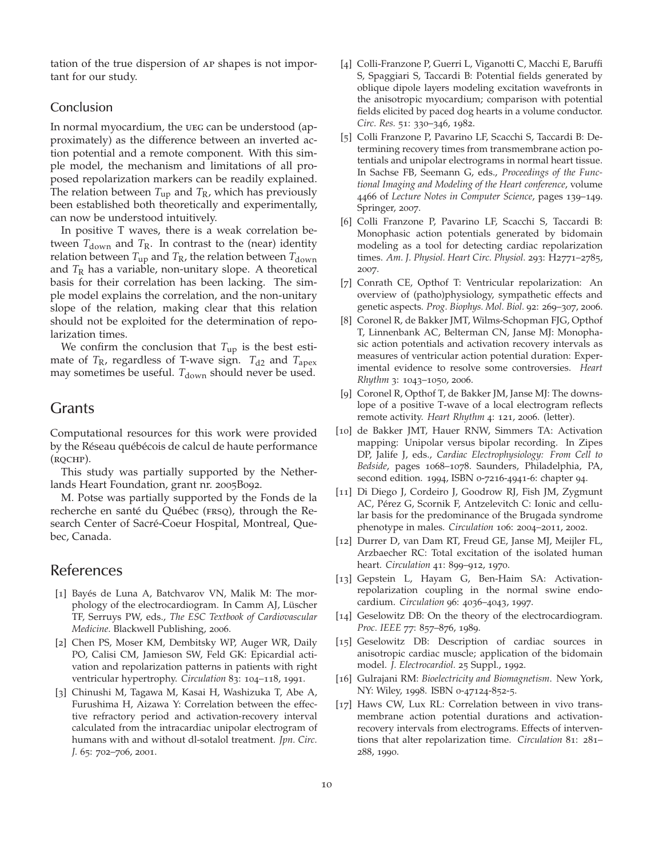tation of the true dispersion of ap shapes is not important for our study.

### **Conclusion**

In normal myocardium, the ueg can be understood (approximately) as the difference between an inverted action potential and a remote component. With this simple model, the mechanism and limitations of all proposed repolarization markers can be readily explained. The relation between *T*up and *T*R, which has previously been established both theoretically and experimentally, can now be understood intuitively.

In positive T waves, there is a weak correlation between  $T_{\text{down}}$  and  $T_{\text{R}}$ . In contrast to the (near) identity relation between  $T_{\rm up}$  and  $T_{\rm R}$ , the relation between  $T_{\rm down}$ and *T*<sub>R</sub> has a variable, non-unitary slope. A theoretical basis for their correlation has been lacking. The simple model explains the correlation, and the non-unitary slope of the relation, making clear that this relation should not be exploited for the determination of repolarization times.

We confirm the conclusion that  $T_{\text{up}}$  is the best estimate of  $T_R$ , regardless of T-wave sign.  $T_{d2}$  and  $T_{apex}$ may sometimes be useful. T<sub>down</sub> should never be used.

### Grants

Computational resources for this work were provided by the Réseau québécois de calcul de haute performance (RQCHP).

This study was partially supported by the Netherlands Heart Foundation, grant nr. 2005B092.

M. Potse was partially supported by the Fonds de la recherche en santé du Québec (FRSQ), through the Research Center of Sacré-Coeur Hospital, Montreal, Quebec, Canada.

### References

- [1] Bayés de Luna A, Batchvarov VN, Malik M: The morphology of the electrocardiogram. In Camm AJ, Lüscher TF, Serruys PW, eds., *The ESC Textbook of Cardiovascular Medicine*. Blackwell Publishing, 2006.
- [2] Chen PS, Moser KM, Dembitsky WP, Auger WR, Daily PO, Calisi CM, Jamieson SW, Feld GK: Epicardial activation and repolarization patterns in patients with right ventricular hypertrophy. *Circulation* 83: 104–118, 1991.
- [3] Chinushi M, Tagawa M, Kasai H, Washizuka T, Abe A, Furushima H, Aizawa Y: Correlation between the effective refractory period and activation-recovery interval calculated from the intracardiac unipolar electrogram of humans with and without dl-sotalol treatment. *Jpn. Circ. J.* 65: 702–706, 2001.
- [4] Colli-Franzone P, Guerri L, Viganotti C, Macchi E, Baruffi S, Spaggiari S, Taccardi B: Potential fields generated by oblique dipole layers modeling excitation wavefronts in the anisotropic myocardium; comparison with potential fields elicited by paced dog hearts in a volume conductor. *Circ. Res.* 51: 330–346, 1982.
- [5] Colli Franzone P, Pavarino LF, Scacchi S, Taccardi B: Determining recovery times from transmembrane action potentials and unipolar electrograms in normal heart tissue. In Sachse FB, Seemann G, eds., *Proceedings of the Functional Imaging and Modeling of the Heart conference*, volume 4466 of *Lecture Notes in Computer Science*, pages 139–149. Springer, 2007.
- [6] Colli Franzone P, Pavarino LF, Scacchi S, Taccardi B: Monophasic action potentials generated by bidomain modeling as a tool for detecting cardiac repolarization times. *Am. J. Physiol. Heart Circ. Physiol.* 293: H2771–2785, 2007.
- [7] Conrath CE, Opthof T: Ventricular repolarization: An overview of (patho)physiology, sympathetic effects and genetic aspects. *Prog. Biophys. Mol. Biol.* 92: 269–307, 2006.
- [8] Coronel R, de Bakker JMT, Wilms-Schopman FJG, Opthof T, Linnenbank AC, Belterman CN, Janse MJ: Monophasic action potentials and activation recovery intervals as measures of ventricular action potential duration: Experimental evidence to resolve some controversies. *Heart Rhythm* 3: 1043–1050, 2006.
- [9] Coronel R, Opthof T, de Bakker JM, Janse MJ: The downslope of a positive T-wave of a local electrogram reflects remote activity. *Heart Rhythm* 4: 121, 2006. (letter).
- [10] de Bakker JMT, Hauer RNW, Simmers TA: Activation mapping: Unipolar versus bipolar recording. In Zipes DP, Jalife J, eds., *Cardiac Electrophysiology: From Cell to Bedside*, pages 1068–1078. Saunders, Philadelphia, PA, second edition. 1994, ISBN 0-7216-4941-6: chapter 94.
- [11] Di Diego J, Cordeiro J, Goodrow RJ, Fish JM, Zygmunt AC, Pérez G, Scornik F, Antzelevitch C: Ionic and cellular basis for the predominance of the Brugada syndrome phenotype in males. *Circulation* 106: 2004–2011, 2002.
- [12] Durrer D, van Dam RT, Freud GE, Janse MJ, Meijler FL, Arzbaecher RC: Total excitation of the isolated human heart. *Circulation* 41: 899–912, 1970.
- [13] Gepstein L, Hayam G, Ben-Haim SA: Activationrepolarization coupling in the normal swine endocardium. *Circulation* 96: 4036–4043, 1997.
- [14] Geselowitz DB: On the theory of the electrocardiogram. *Proc. IEEE* 77: 857–876, 1989.
- [15] Geselowitz DB: Description of cardiac sources in anisotropic cardiac muscle; application of the bidomain model. *J. Electrocardiol.* 25 Suppl., 1992.
- [16] Gulrajani RM: *Bioelectricity and Biomagnetism*. New York, NY: Wiley, 1998. ISBN 0-47124-852-5.
- [17] Haws CW, Lux RL: Correlation between in vivo transmembrane action potential durations and activationrecovery intervals from electrograms. Effects of interventions that alter repolarization time. *Circulation* 81: 281– 288, 1990.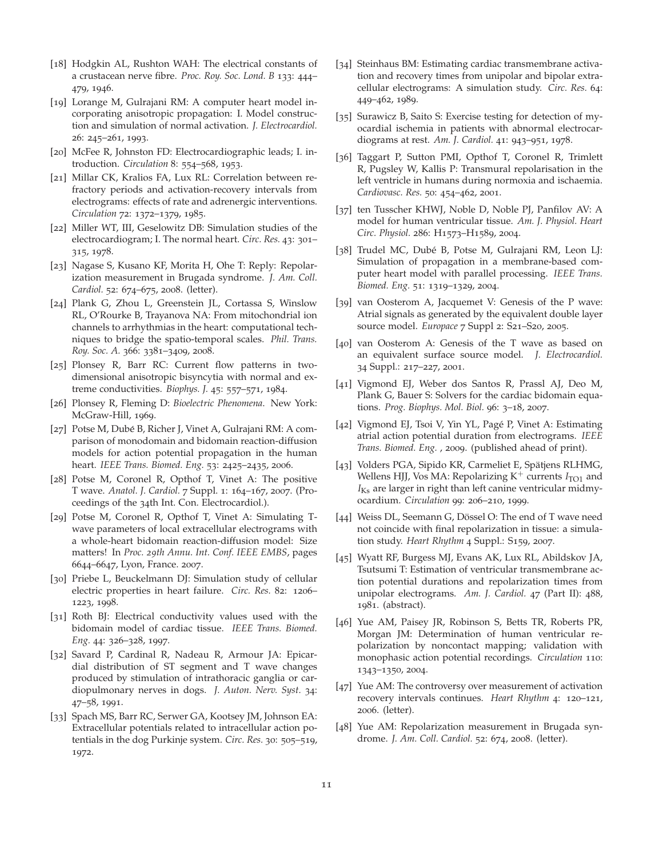- [18] Hodgkin AL, Rushton WAH: The electrical constants of a crustacean nerve fibre. *Proc. Roy. Soc. Lond. B* 133: 444– 479, 1946.
- [19] Lorange M, Gulrajani RM: A computer heart model incorporating anisotropic propagation: I. Model construction and simulation of normal activation. *J. Electrocardiol.* 26: 245–261, 1993.
- [20] McFee R, Johnston FD: Electrocardiographic leads; I. introduction. *Circulation* 8: 554–568, 1953.
- [21] Millar CK, Kralios FA, Lux RL: Correlation between refractory periods and activation-recovery intervals from electrograms: effects of rate and adrenergic interventions. *Circulation* 72: 1372–1379, 1985.
- [22] Miller WT, III, Geselowitz DB: Simulation studies of the electrocardiogram; I. The normal heart. *Circ. Res.* 43: 301– 315, 1978.
- [23] Nagase S, Kusano KF, Morita H, Ohe T: Reply: Repolarization measurement in Brugada syndrome. *J. Am. Coll. Cardiol.* 52: 674–675, 2008. (letter).
- [24] Plank G, Zhou L, Greenstein JL, Cortassa S, Winslow RL, O'Rourke B, Trayanova NA: From mitochondrial ion channels to arrhythmias in the heart: computational techniques to bridge the spatio-temporal scales. *Phil. Trans. Roy. Soc. A.* 366: 3381–3409, 2008.
- [25] Plonsey R, Barr RC: Current flow patterns in twodimensional anisotropic bisyncytia with normal and extreme conductivities. *Biophys. J.* 45: 557–571, 1984.
- [26] Plonsey R, Fleming D: *Bioelectric Phenomena*. New York: McGraw-Hill, 1969.
- [27] Potse M, Dubé B, Richer J, Vinet A, Gulrajani RM: A comparison of monodomain and bidomain reaction-diffusion models for action potential propagation in the human heart. *IEEE Trans. Biomed. Eng.* 53: 2425–2435, 2006.
- [28] Potse M, Coronel R, Opthof T, Vinet A: The positive T wave. *Anatol. J. Cardiol.* 7 Suppl. 1: 164–167, 2007. (Proceedings of the 34th Int. Con. Electrocardiol.).
- [29] Potse M, Coronel R, Opthof T, Vinet A: Simulating Twave parameters of local extracellular electrograms with a whole-heart bidomain reaction-diffusion model: Size matters! In *Proc. 29th Annu. Int. Conf. IEEE EMBS*, pages 6644–6647, Lyon, France. 2007.
- [30] Priebe L, Beuckelmann DJ: Simulation study of cellular electric properties in heart failure. *Circ. Res.* 82: 1206– 1223, 1998.
- [31] Roth BJ: Electrical conductivity values used with the bidomain model of cardiac tissue. *IEEE Trans. Biomed. Eng.* 44: 326–328, 1997.
- [32] Savard P, Cardinal R, Nadeau R, Armour JA: Epicardial distribution of ST segment and T wave changes produced by stimulation of intrathoracic ganglia or cardiopulmonary nerves in dogs. *J. Auton. Nerv. Syst.* 34: 47–58, 1991.
- [33] Spach MS, Barr RC, Serwer GA, Kootsey JM, Johnson EA: Extracellular potentials related to intracellular action potentials in the dog Purkinje system. *Circ. Res.* 30: 505–519, 1972.
- [34] Steinhaus BM: Estimating cardiac transmembrane activation and recovery times from unipolar and bipolar extracellular electrograms: A simulation study. *Circ. Res.* 64: 449–462, 1989.
- [35] Surawicz B, Saito S: Exercise testing for detection of myocardial ischemia in patients with abnormal electrocardiograms at rest. *Am. J. Cardiol.* 41: 943–951, 1978.
- [36] Taggart P, Sutton PMI, Opthof T, Coronel R, Trimlett R, Pugsley W, Kallis P: Transmural repolarisation in the left ventricle in humans during normoxia and ischaemia. *Cardiovasc. Res.* 50: 454–462, 2001.
- [37] ten Tusscher KHWJ, Noble D, Noble PJ, Panfilov AV: A model for human ventricular tissue. *Am. J. Physiol. Heart Circ. Physiol.* 286: H1573–H1589, 2004.
- [38] Trudel MC, Dubé B, Potse M, Gulrajani RM, Leon LJ: Simulation of propagation in a membrane-based computer heart model with parallel processing. *IEEE Trans. Biomed. Eng.* 51: 1319–1329, 2004.
- [39] van Oosterom A, Jacquemet V: Genesis of the P wave: Atrial signals as generated by the equivalent double layer source model. *Europace* 7 Suppl 2: S21–S20, 2005.
- [40] van Oosterom A: Genesis of the T wave as based on an equivalent surface source model. *J. Electrocardiol.* 34 Suppl.: 217–227, 2001.
- [41] Vigmond EJ, Weber dos Santos R, Prassl AJ, Deo M, Plank G, Bauer S: Solvers for the cardiac bidomain equations. *Prog. Biophys. Mol. Biol.* 96: 3–18, 2007.
- [42] Vigmond EJ, Tsoi V, Yin YL, Pagé P, Vinet A: Estimating atrial action potential duration from electrograms. *IEEE Trans. Biomed. Eng.* , 2009. (published ahead of print).
- [43] Volders PGA, Sipido KR, Carmeliet E, Spätjens RLHMG, Wellens HJJ, Vos MA: Repolarizing  $K^+$  currents  $I_{TO1}$  and  $I_{\text{Ks}}$  are larger in right than left canine ventricular midmyocardium. *Circulation* 99: 206–210, 1999.
- [44] Weiss DL, Seemann G, Dössel O: The end of T wave need not coincide with final repolarization in tissue: a simulation study. *Heart Rhythm* 4 Suppl.: S159, 2007.
- [45] Wyatt RF, Burgess MJ, Evans AK, Lux RL, Abildskov JA, Tsutsumi T: Estimation of ventricular transmembrane action potential durations and repolarization times from unipolar electrograms. *Am. J. Cardiol.* 47 (Part II): 488, 1981. (abstract).
- [46] Yue AM, Paisey JR, Robinson S, Betts TR, Roberts PR, Morgan JM: Determination of human ventricular repolarization by noncontact mapping; validation with monophasic action potential recordings. *Circulation* 110: 1343–1350, 2004.
- [47] Yue AM: The controversy over measurement of activation recovery intervals continues. *Heart Rhythm* 4: 120–121, 2006. (letter).
- [48] Yue AM: Repolarization measurement in Brugada syndrome. *J. Am. Coll. Cardiol.* 52: 674, 2008. (letter).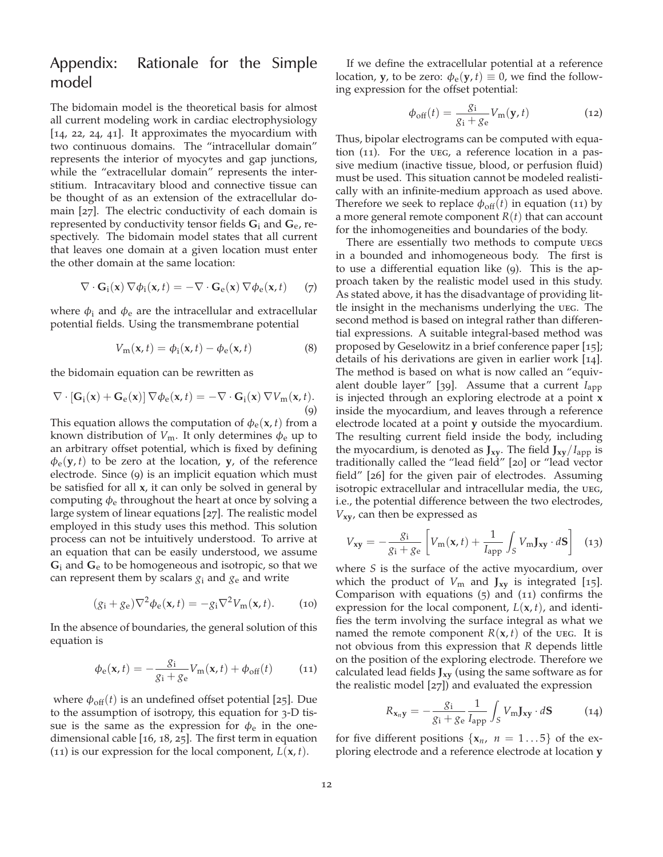## Appendix: Rationale for the Simple model

The bidomain model is the theoretical basis for almost all current modeling work in cardiac electrophysiology [14, 22, 24, 41]. It approximates the myocardium with two continuous domains. The "intracellular domain" represents the interior of myocytes and gap junctions, while the "extracellular domain" represents the interstitium. Intracavitary blood and connective tissue can be thought of as an extension of the extracellular domain [27]. The electric conductivity of each domain is represented by conductivity tensor fields **G**<sup>i</sup> and **G**e, respectively. The bidomain model states that all current that leaves one domain at a given location must enter the other domain at the same location:

$$
\nabla \cdot \mathbf{G}_i(\mathbf{x}) \nabla \phi_i(\mathbf{x}, t) = -\nabla \cdot \mathbf{G}_e(\mathbf{x}) \nabla \phi_e(\mathbf{x}, t) \qquad (7)
$$

where  $\phi_i$  and  $\phi_e$  are the intracellular and extracellular potential fields. Using the transmembrane potential

$$
V_{\mathbf{m}}(\mathbf{x},t) = \phi_{\mathbf{i}}(\mathbf{x},t) - \phi_{\mathbf{e}}(\mathbf{x},t)
$$
 (8)

the bidomain equation can be rewritten as

$$
\nabla \cdot \left[ \mathbf{G}_{i}(\mathbf{x}) + \mathbf{G}_{e}(\mathbf{x}) \right] \nabla \phi_{e}(\mathbf{x}, t) = -\nabla \cdot \mathbf{G}_{i}(\mathbf{x}) \nabla V_{m}(\mathbf{x}, t).
$$
\n(9)

This equation allows the computation of  $\phi_e(\mathbf{x}, t)$  from a known distribution of  $V_m$ . It only determines  $\phi_e$  up to an arbitrary offset potential, which is fixed by defining  $\phi_e$ (**y**, *t*) to be zero at the location, **y**, of the reference electrode. Since (9) is an implicit equation which must be satisfied for all **x**, it can only be solved in general by computing  $\phi_e$  throughout the heart at once by solving a large system of linear equations [27]. The realistic model employed in this study uses this method. This solution process can not be intuitively understood. To arrive at an equation that can be easily understood, we assume **G**<sup>i</sup> and **G**<sup>e</sup> to be homogeneous and isotropic, so that we can represent them by scalars  $g_i$  and  $g_e$  and write

$$
(g_i + g_e)\nabla^2 \phi_e(\mathbf{x}, t) = -g_i \nabla^2 V_m(\mathbf{x}, t). \tag{10}
$$

In the absence of boundaries, the general solution of this equation is

$$
\phi_{\rm e}(\mathbf{x},t) = -\frac{g_{\rm i}}{g_{\rm i} + g_{\rm e}} V_{\rm m}(\mathbf{x},t) + \phi_{\rm off}(t) \tag{11}
$$

where  $\phi_{\text{off}}(t)$  is an undefined offset potential [25]. Due to the assumption of isotropy, this equation for 3-D tissue is the same as the expression for  $\phi_e$  in the onedimensional cable [16, 18, 25]. The first term in equation (11) is our expression for the local component,  $L(\mathbf{x}, t)$ .

If we define the extracellular potential at a reference location, **y**, to be zero:  $\phi_e(y, t) \equiv 0$ , we find the following expression for the offset potential:

$$
\phi_{\rm off}(t) = \frac{g_i}{g_i + g_e} V_{\rm m}(\mathbf{y}, t)
$$
\n(12)

Thus, bipolar electrograms can be computed with equation  $(11)$ . For the UEG, a reference location in a passive medium (inactive tissue, blood, or perfusion fluid) must be used. This situation cannot be modeled realistically with an infinite-medium approach as used above. Therefore we seek to replace  $\phi_{off}(t)$  in equation (11) by a more general remote component *R*(*t*) that can account for the inhomogeneities and boundaries of the body.

There are essentially two methods to compute UEGS in a bounded and inhomogeneous body. The first is to use a differential equation like (9). This is the approach taken by the realistic model used in this study. As stated above, it has the disadvantage of providing little insight in the mechanisms underlying the ueg. The second method is based on integral rather than differential expressions. A suitable integral-based method was proposed by Geselowitz in a brief conference paper [15]; details of his derivations are given in earlier work [14]. The method is based on what is now called an "equivalent double layer" [39]. Assume that a current *I*app is injected through an exploring electrode at a point **x** inside the myocardium, and leaves through a reference electrode located at a point **y** outside the myocardium. The resulting current field inside the body, including the myocardium, is denoted as  $J_{xy}$ . The field  $J_{xy}/I_{app}$  is traditionally called the "lead field" [20] or "lead vector field" [26] for the given pair of electrodes. Assuming isotropic extracellular and intracellular media, the ueg, i.e., the potential difference between the two electrodes, *V***xy**, can then be expressed as

$$
V_{xy} = -\frac{g_i}{g_i + g_e} \left[ V_m(\mathbf{x}, t) + \frac{1}{I_{app}} \int_S V_m \mathbf{J}_{xy} \cdot d\mathbf{S} \right] \tag{13}
$$

where *S* is the surface of the active myocardium, over which the product of *V*<sup>m</sup> and **Jxy** is integrated [15]. Comparison with equations (5) and (11) confirms the expression for the local component,  $L(\mathbf{x}, t)$ , and identifies the term involving the surface integral as what we named the remote component  $R(x, t)$  of the ueg. It is not obvious from this expression that *R* depends little on the position of the exploring electrode. Therefore we calculated lead fields **Jxy** (using the same software as for the realistic model [27]) and evaluated the expression

$$
R_{\mathbf{x}_n\mathbf{y}} = -\frac{g_i}{g_i + g_e} \frac{1}{I_{\rm app}} \int_S V_{\rm m} \mathbf{J}_{\mathbf{x}\mathbf{y}} \cdot d\mathbf{S} \tag{14}
$$

for five different positions  $\{x_n, n = 1...5\}$  of the exploring electrode and a reference electrode at location **y**